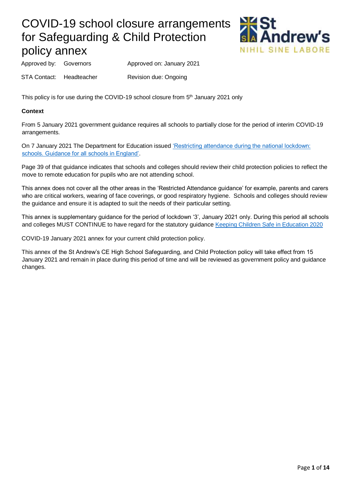

Approved by: Governors Approved on: January 2021

STA Contact: Headteacher Revision due: Ongoing

This policy is for use during the COVID-19 school closure from 5<sup>th</sup> January 2021 only

## **Context**

From 5 January 2021 government guidance requires all schools to partially close for the period of interim COVID-19 arrangements.

On 7 January 2021 The Department for Education issued 'Restricting attendance during the national lockdown: [schools. Guidance for all schools in England'.](https://assets.publishing.service.gov.uk/government/uploads/system/uploads/attachment_data/file/950510/School_national_restrictions_guidance.pdf)

Page 39 of that guidance indicates that schools and colleges should review their child protection policies to reflect the move to remote education for pupils who are not attending school.

This annex does not cover all the other areas in the 'Restricted Attendance guidance' for example, parents and carers who are critical workers, wearing of face coverings, or good respiratory hygiene. Schools and colleges should review the guidance and ensure it is adapted to suit the needs of their particular setting.

This annex is supplementary guidance for the period of lockdown '3', January 2021 only. During this period all schools and colleges MUST CONTINUE to have regard for the statutory guidance [Keeping Children Safe in Education 2020](https://www.gov.uk/government/publications/keeping-children-safe-in-education--2) 

COVID-19 January 2021 annex for your current child protection policy.

This annex of the St Andrew's CE High School Safeguarding, and Child Protection policy will take effect from 15 January 2021 and remain in place during this period of time and will be reviewed as government policy and guidance changes.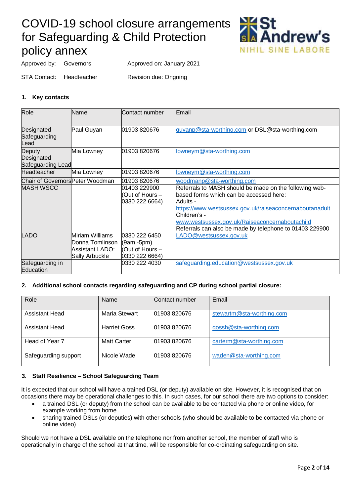

Approved by: Governors Approved on: January 2021

STA Contact: Headteacher Revision due: Ongoing

## **1. Key contacts**

| Role                                      | Name                                                                    | Contact number                                                      | Email                                                                                                                                                                                                                                                                                                 |
|-------------------------------------------|-------------------------------------------------------------------------|---------------------------------------------------------------------|-------------------------------------------------------------------------------------------------------------------------------------------------------------------------------------------------------------------------------------------------------------------------------------------------------|
| Designated<br>Safeguarding<br>Lead.       | Paul Guyan                                                              | 01903 820676                                                        | guyanp@sta-worthing.com or DSL@sta-worthing.com                                                                                                                                                                                                                                                       |
| Deputy<br>Designated<br>Safeguarding Lead | Mia Lowney                                                              | 01903 820676                                                        | lowneym@sta-worthing.com                                                                                                                                                                                                                                                                              |
| <b>Headteacher</b>                        | Mia Lowney                                                              | 01903 820676                                                        | lowneym@sta-worthing.com                                                                                                                                                                                                                                                                              |
| Chair of Governors Peter Woodman          |                                                                         | 01903 820676                                                        | woodmanp@sta-worthing.com                                                                                                                                                                                                                                                                             |
| <b>MASH WSCC</b>                          |                                                                         | 01403 229900<br>Out of Hours -<br>0330 222 6664)                    | Referrals to MASH should be made on the following web-<br>based forms which can be accessed here:<br>Adults -<br>https://www.westsussex.gov.uk/raiseaconcernaboutanadult<br>Children's -<br>www.westsussex.gov.uk/Raiseaconcernaboutachild<br>Referrals can also be made by telephone to 01403 229900 |
| <b>LADO</b>                               | Miriam Williams<br>Donna Tomlinson<br>Assistant LADO:<br>Sally Arbuckle | 0330 222 6450<br>$(9am - 5pm)$<br>(Out of Hours –<br>0330 222 6664) | LADO@westsussex.gov.uk                                                                                                                                                                                                                                                                                |
| Safeguarding in<br>Education              |                                                                         | 0330 222 4030                                                       | safequarding.education@westsussex.gov.uk                                                                                                                                                                                                                                                              |

### **2. Additional school contacts regarding safeguarding and CP during school partial closure:**

| Role                 | Name                 | Contact number | Email                     |
|----------------------|----------------------|----------------|---------------------------|
|                      |                      |                |                           |
|                      |                      |                |                           |
| Assistant Head       | <b>Maria Stewart</b> | 01903 820676   | stewartm@sta-worthing.com |
|                      |                      |                |                           |
|                      |                      |                |                           |
| Assistant Head       | <b>Harriet Goss</b>  | 01903820676    | gossh@sta-worthing.com    |
|                      |                      |                |                           |
|                      |                      |                |                           |
| Head of Year 7       | Matt Carter          | 01903 820676   | carterm@sta-worthing.com  |
|                      |                      |                |                           |
|                      |                      |                |                           |
| Safeguarding support | Nicole Wade          | 01903 820676   | waden@sta-worthing.com    |
|                      |                      |                |                           |
|                      |                      |                |                           |

## **3. Staff Resilience – School Safeguarding Team**

It is expected that our school will have a trained DSL (or deputy) available on site. However, it is recognised that on occasions there may be operational challenges to this. In such cases, for our school there are two options to consider:

- a trained DSL (or deputy) from the school can be available to be contacted via phone or online video, for example working from home
- sharing trained DSLs (or deputies) with other schools (who should be available to be contacted via phone or online video)

Should we not have a DSL available on the telephone nor from another school, the member of staff who is operationally in charge of the school at that time, will be responsible for co-ordinating safeguarding on site.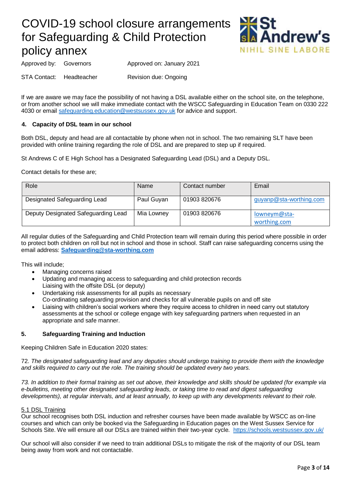

Approved by: Governors Approved on: January 2021

STA Contact: Headteacher Revision due: Ongoing

If we are aware we may face the possibility of not having a DSL available either on the school site, on the telephone, or from another school we will make immediate contact with the WSCC Safeguarding in Education Team on 0330 222 4030 or email [safeguarding.education@westsussex.gov.uk](mailto:safeguarding.education@westsussex.gov.uk) for advice and support.

## **4. Capacity of DSL team in our school**

Both DSL, deputy and head are all contactable by phone when not in school. The two remaining SLT have been provided with online training regarding the role of DSL and are prepared to step up if required.

St Andrews C of E High School has a Designated Safeguarding Lead (DSL) and a Deputy DSL.

Contact details for these are;

| Role                                | Name       | Contact number | Email                        |
|-------------------------------------|------------|----------------|------------------------------|
| Designated Safeguarding Lead        | Paul Guyan | 01903 820676   | guyanp@sta-worthing.com      |
| Deputy Designated Safeguarding Lead | Mia Lowney | 01903 820676   | lowneym@sta-<br>worthing.com |

All regular duties of the Safeguarding and Child Protection team will remain during this period where possible in order to protect both children on roll but not in school and those in school. Staff can raise safeguarding concerns using the email address: **[Safeguarding@sta-worthing.com](mailto:Safeguarding@sta-worthing.com)**

This will include;

- Managing concerns raised
- Updating and managing access to safeguarding and child protection records Liaising with the offsite DSL (or deputy)
- Undertaking risk assessments for all pupils as necessary
- Co-ordinating safeguarding provision and checks for all vulnerable pupils on and off site
- Liaising with children's social workers where they require access to children in need carry out statutory assessments at the school or college engage with key safeguarding partners when requested in an appropriate and safe manner.

### **5. Safeguarding Training and Induction**

Keeping Children Safe in Education 2020 states:

72. *The designated safeguarding lead and any deputies should undergo training to provide them with the knowledge and skills required to carry out the role. The training should be updated every two years.*

*73. In addition to their formal training as set out above, their knowledge and skills should be updated (for example via e-bulletins, meeting other designated safeguarding leads, or taking time to read and digest safeguarding developments), at regular intervals, and at least annually, to keep up with any developments relevant to their role.*

### 5.1 DSL Training

Our school recognises both DSL induction and refresher courses have been made available by WSCC as on-line courses and which can only be booked via the Safeguarding in Education pages on the West Sussex Service for Schools Site. We will ensure all our DSLs are trained within their two-year cycle. <https://schools.westsussex.gov.uk/>

Our school will also consider if we need to train additional DSLs to mitigate the risk of the majority of our DSL team being away from work and not contactable.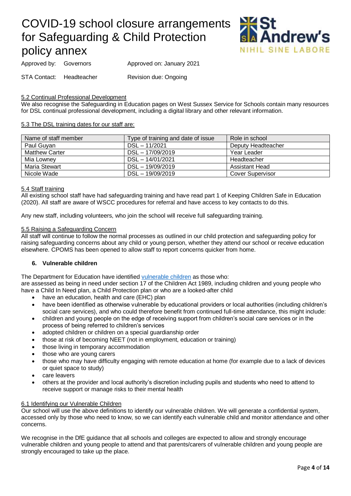

Approved by: Governors Approved on: January 2021

STA Contact: Headteacher Revision due: Ongoing

#### 5.2 Continual Professional Development

We also recognise the Safeguarding in Education pages on West Sussex Service for Schools contain many resources for DSL continual professional development, including a digital library and other relevant information.

#### 5.3 The DSL training dates for our staff are:

| Name of staff member  | Type of training and date of issue | Role in school          |
|-----------------------|------------------------------------|-------------------------|
| Paul Guvan            | $DSL - 11/2021$                    | Deputy Headteacher      |
| <b>Matthew Carter</b> | DSL - 17/09/2019                   | Year Leader             |
| Mia Lowney            | $DSL - 14/01/2021$                 | Headteacher             |
| Maria Stewart         | DSL - 19/09/2019                   | <b>Assistant Head</b>   |
| Nicole Wade           | $DSL - 19/09/2019$                 | <b>Cover Supervisor</b> |

#### 5.4 Staff training

All existing school staff have had safeguarding training and have read part 1 of Keeping Children Safe in Education (2020). All staff are aware of WSCC procedures for referral and have access to key contacts to do this.

Any new staff, including volunteers, who join the school will receive full safeguarding training.

#### 5.5 Raising a Safeguarding Concern

All staff will continue to follow the normal processes as outlined in our child protection and safeguarding policy for raising safeguarding concerns about any child or young person, whether they attend our school or receive education elsewhere. CPOMS has been opened to allow staff to report concerns quicker from home.

### **6. Vulnerable children**

The Department for Education have identified [vulnerable children](https://www.gov.uk/government/publications/coronavirus-covid-19-maintaining-educational-provision/guidance-for-schools-colleges-and-local-authorities-on-maintaining-educational-provision#vulnerable-children-and-young-people) as those who:

are assessed as being in need under section 17 of the Children Act 1989, including children and young people who have a Child In Need plan, a Child Protection plan or who are a looked-after child

- have an education, health and care (EHC) plan
- have been identified as otherwise vulnerable by educational providers or local authorities (including children's social care services), and who could therefore benefit from continued full-time attendance, this might include:
- children and young people on the edge of receiving support from children's social care services or in the process of being referred to children's services
- adopted children or children on a special guardianship order
- those at risk of becoming NEET (not in employment, education or training)
- those living in temporary accommodation
- those who are young carers
- those who may have difficulty engaging with remote education at home (for example due to a lack of devices or quiet space to study)
- care leavers
- others at the provider and local authority's discretion including pupils and students who need to attend to receive support or manage risks to their mental health

### 6.1 Identifying our Vulnerable Children

Our school will use the above definitions to identify our vulnerable children. We will generate a confidential system, accessed only by those who need to know, so we can identify each vulnerable child and monitor attendance and other concerns.

We recognise in the DfE guidance that all schools and colleges are expected to allow and strongly encourage vulnerable children and young people to attend and that parents/carers of vulnerable children and young people are strongly encouraged to take up the place.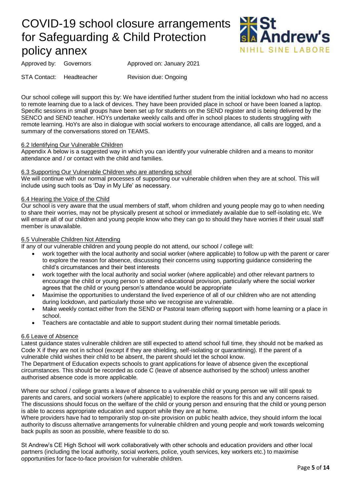

Approved by: Governors Approved on: January 2021

STA Contact: Headteacher Revision due: Ongoing

Our school college will support this by: We have identified further student from the initial lockdown who had no access to remote learning due to a lack of devices. They have been provided place in school or have been loaned a laptop. Specific sessions in small groups have been set up for students on the SEND register and is being delivered by the SENCO and SEND teacher. HOYs undertake weekly calls and offer in school places to students struggling with remote learning. HoYs are also in dialogue with social workers to encourage attendance, all calls are logged, and a summary of the conversations stored on TEAMS.

#### 6.2 Identifying Our Vulnerable Children

Appendix A below is a suggested way in which you can identify your vulnerable children and a means to monitor attendance and / or contact with the child and families.

#### 6.3 Supporting Our Vulnerable Children who are attending school

We will continue with our normal processes of supporting our vulnerable children when they are at school. This will include using such tools as 'Day in My Life' as necessary.

#### 6.4 Hearing the Voice of the Child

Our school is very aware that the usual members of staff, whom children and young people may go to when needing to share their worries, may not be physically present at school or immediately available due to self-isolating etc. We will ensure all of our children and young people know who they can go to should they have worries if their usual staff member is unavailable.

#### 6.5 Vulnerable Children Not Attending

If any of our vulnerable children and young people do not attend, our school / college will:

- work together with the local authority and social worker (where applicable) to follow up with the parent or carer to explore the reason for absence, discussing their concerns using supporting guidance considering the child's circumstances and their best interests
- work together with the local authority and social worker (where applicable) and other relevant partners to encourage the child or young person to attend educational provision, particularly where the social worker agrees that the child or young person's attendance would be appropriate
- Maximise the opportunities to understand the lived experience of all of our children who are not attending during lockdown, and particularly those who we recognise are vulnerable.
- Make weekly contact either from the SEND or Pastoral team offering support with home learning or a place in school.
- Teachers are contactable and able to support student during their normal timetable periods.

#### 6.6 Leave of Absence

Latest guidance states vulnerable children are still expected to attend school full time, they should not be marked as Code X if they are not in school (except if they are shielding, self-isolating or quarantining). If the parent of a vulnerable child wishes their child to be absent, the parent should let the school know.

The Department of Education expects schools to grant applications for leave of absence given the exceptional circumstances. This should be recorded as code C (leave of absence authorised by the school) unless another authorised absence code is more applicable.

Where our school / college grants a leave of absence to a vulnerable child or young person we will still speak to parents and carers, and social workers (where applicable) to explore the reasons for this and any concerns raised. The discussions should focus on the welfare of the child or young person and ensuring that the child or young person is able to access appropriate education and support while they are at home.

Where providers have had to temporarily stop on-site provision on public health advice, they should inform the local authority to discuss alternative arrangements for vulnerable children and young people and work towards welcoming back pupils as soon as possible, where feasible to do so.

St Andrew's CE High School will work collaboratively with other schools and education providers and other local partners (including the local authority, social workers, police, youth services, key workers etc.) to maximise opportunities for face-to-face provision for vulnerable children.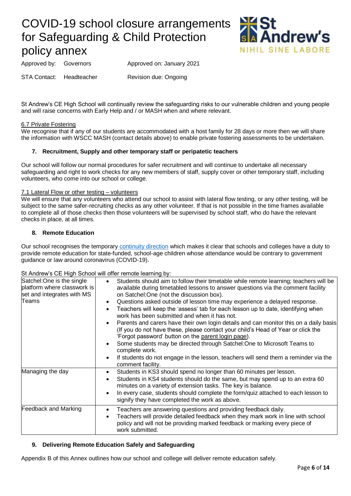

Approved by: Governors Approved on: January 2021

STA Contact: Headteacher Revision due: Ongoing

St Andrew's CE High School will continually review the safeguarding risks to our vulnerable children and young people and will raise concerns with Early Help and / or MASH when and where relevant.

### 6.7 Private Fostering

We recognise that if any of our students are accommodated with a host family for 28 days or more then we will share the information with WSCC MASH (contact details above) to enable private fostering assessments to be undertaken.

## **7. Recruitment, Supply and other temporary staff or peripatetic teachers**

Our school will follow our normal procedures for safer recruitment and will continue to undertake all necessary safeguarding and right to work checks for any new members of staff, supply cover or other temporary staff, including volunteers, who come into our school or college.

#### 7.1 Lateral Flow or other testing – volunteers

We will ensure that any volunteers who attend our school to assist with lateral flow testing, or any other testing, will be subject to the same safer-recruiting checks as any other volunteer. If that is not possible in the time frames available to complete all of those checks then those volunteers will be supervised by school staff, who do have the relevant checks in place, at all times.

### **8. Remote Education**

Our school recognises the temporar[y continuity direction](https://www.gov.uk/government/publications/remote-education-temporary-continuity-direction-explanatory-note) which makes it clear that schools and colleges have a duty to provide remote education for state-funded, school-age children whose attendance would be contrary to government guidance or law around coronavirus (COVID-19).

#### St Andrew's CF High School will offer remote learning by:

| Satchel: One is the single<br>platform where classwork is<br>set and integrates with MS<br>Teams | be a final off $\sigma$ of $\sigma$ in spin occurs and the following $\sigma$ is an interest of $\sigma$<br>Students should aim to follow their timetable while remote learning; teachers will be<br>$\bullet$<br>available during timetabled lessons to answer questions via the comment facility<br>on Satchel: One (not the discussion box).<br>Questions asked outside of lesson time may experience a delayed response.<br>$\bullet$<br>Teachers will keep the 'assess' tab for each lesson up to date, identifying when<br>$\bullet$<br>work has been submitted and when it has not.<br>Parents and carers have their own login details and can monitor this on a daily basis<br>$\bullet$<br>(If you do not have these, please contact your child's Head of Year or click the<br>'Forgot password' button on the parent login page).<br>Some students may be directed through Satchel: One to Microsoft Teams to<br>$\bullet$<br>complete work.<br>If students do not engage in the lesson, teachers will send them a reminder via the<br>$\bullet$<br>comment facility. |
|--------------------------------------------------------------------------------------------------|---------------------------------------------------------------------------------------------------------------------------------------------------------------------------------------------------------------------------------------------------------------------------------------------------------------------------------------------------------------------------------------------------------------------------------------------------------------------------------------------------------------------------------------------------------------------------------------------------------------------------------------------------------------------------------------------------------------------------------------------------------------------------------------------------------------------------------------------------------------------------------------------------------------------------------------------------------------------------------------------------------------------------------------------------------------------------------|
| Managing the day                                                                                 | Students in KS3 should spend no longer than 60 minutes per lesson.<br>$\bullet$<br>Students in KS4 students should do the same, but may spend up to an extra 60<br>$\bullet$<br>minutes on a variety of extension tasks. The key is balance.<br>In every case, students should complete the form/quiz attached to each lesson to<br>$\bullet$<br>signify they have completed the work as above.                                                                                                                                                                                                                                                                                                                                                                                                                                                                                                                                                                                                                                                                                 |
| <b>Feedback and Marking</b>                                                                      | Teachers are answering questions and providing feedback daily.<br>٠<br>Teachers will provide detailed feedback when they mark work in line with school<br>$\bullet$<br>policy and will not be providing marked feedback or marking every piece of<br>work submitted.                                                                                                                                                                                                                                                                                                                                                                                                                                                                                                                                                                                                                                                                                                                                                                                                            |

### **9. Delivering Remote Education Safely and Safeguarding**

Appendix B of this Annex outlines how our school and college will deliver remote education safely.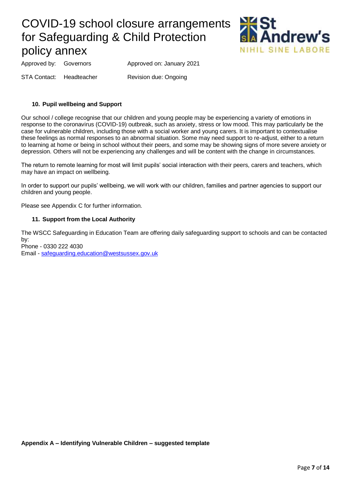

Approved by: Governors Approved on: January 2021

STA Contact: Headteacher Revision due: Ongoing

## **10. Pupil wellbeing and Support**

Our school / college recognise that our children and young people may be experiencing a variety of emotions in response to the coronavirus (COVID-19) outbreak, such as anxiety, stress or low mood. This may particularly be the case for vulnerable children, including those with a social worker and young carers. It is important to contextualise these feelings as normal responses to an abnormal situation. Some may need support to re-adjust, either to a return to learning at home or being in school without their peers, and some may be showing signs of more severe anxiety or depression. Others will not be experiencing any challenges and will be content with the change in circumstances.

The return to remote learning for most will limit pupils' social interaction with their peers, carers and teachers, which may have an impact on wellbeing.

In order to support our pupils' wellbeing, we will work with our children, families and partner agencies to support our children and young people.

Please see Appendix C for further information.

## **11. Support from the Local Authority**

The WSCC Safeguarding in Education Team are offering daily safeguarding support to schools and can be contacted by:

Phone - 0330 222 4030 Email - [safeguarding.education@westsussex.gov.uk](mailto:safeguarding.education@westsussex.gov.uk)

**Appendix A – Identifying Vulnerable Children – suggested template**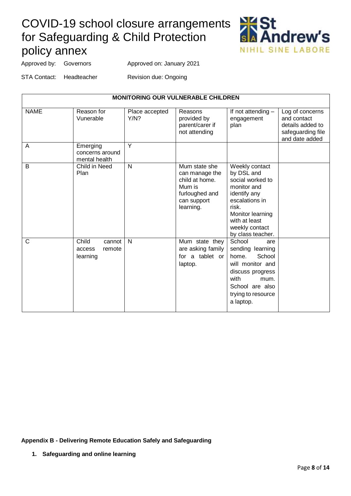

Approved by: Governors Approved on: January 2021

STA Contact: Headteacher Revision due: Ongoing

| <b>MONITORING OUR VULNERABLE CHILDREN</b> |                                                 |                        |                                                                                                           |                                                                                                                                                                                        |                                                                                           |
|-------------------------------------------|-------------------------------------------------|------------------------|-----------------------------------------------------------------------------------------------------------|----------------------------------------------------------------------------------------------------------------------------------------------------------------------------------------|-------------------------------------------------------------------------------------------|
| <b>NAME</b>                               | Reason for<br>Vunerable                         | Place accepted<br>Y/N? | Reasons<br>provided by<br>parent/carer if<br>not attending                                                | If not attending -<br>engagement<br>plan                                                                                                                                               | Log of concerns<br>and contact<br>details added to<br>safeguarding file<br>and date added |
| Α                                         | Emerging<br>concerns around<br>mental health    | Y                      |                                                                                                           |                                                                                                                                                                                        |                                                                                           |
| B                                         | Child in Need<br>Plan                           | $\mathsf{N}$           | Mum state she<br>can manage the<br>child at home.<br>Mum is<br>furloughed and<br>can support<br>learning. | Weekly contact<br>by DSL and<br>social worked to<br>monitor and<br>identify any<br>escalations in<br>risk.<br>Monitor learning<br>with at least<br>weekly contact<br>by class teacher. |                                                                                           |
| C                                         | Child<br>cannot<br>remote<br>access<br>learning | N                      | Mum state they<br>are asking family<br>for a tablet or<br>laptop.                                         | School<br>are<br>sending learning<br>School<br>home.<br>will monitor and<br>discuss progress<br>with<br>mum.<br>School are also<br>trying to resource<br>a laptop.                     |                                                                                           |

**Appendix B - Delivering Remote Education Safely and Safeguarding**

**1. Safeguarding and online learning**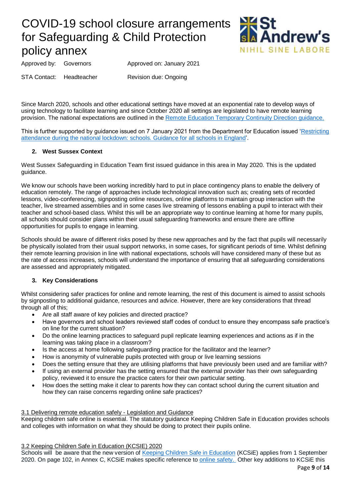

Approved by: Governors Approved on: January 2021

STA Contact: Headteacher Revision due: Ongoing

Since March 2020, schools and other educational settings have moved at an exponential rate to develop ways of using technology to facilitate learning and since October 2020 all settings are legislated to have remote learning provision. The national expectations are outlined in th[e Remote Education Temporary Continuity Direction guidance.](https://assets.publishing.service.gov.uk/government/uploads/system/uploads/attachment_data/file/923539/Remote_Education_Temporary_Continuity_Direction_-__Explanatory_Note.pdf)

This is further supported by guidance issued on 7 January 2021 from the Department for Education issued ['Restricting](https://assets.publishing.service.gov.uk/government/uploads/system/uploads/attachment_data/file/950510/School_national_restrictions_guidance.pdf)  [attendance during the national lockdown: schools. Guidance for all schools in England'](https://assets.publishing.service.gov.uk/government/uploads/system/uploads/attachment_data/file/950510/School_national_restrictions_guidance.pdf).

## **2. West Sussex Context**

West Sussex Safeguarding in Education Team first issued guidance in this area in May 2020. This is the updated guidance.

We know our schools have been working incredibly hard to put in place contingency plans to enable the delivery of education remotely. The range of approaches include technological innovation such as; creating sets of recorded lessons, video-conferencing, signposting online resources, online platforms to maintain group interaction with the teacher, live streamed assemblies and in some cases live streaming of lessons enabling a pupil to interact with their teacher and school-based class. Whilst this will be an appropriate way to continue learning at home for many pupils, all schools should consider plans within their usual safeguarding frameworks and ensure there are offline opportunities for pupils to engage in learning.

Schools should be aware of different risks posed by these new approaches and by the fact that pupils will necessarily be physically isolated from their usual support networks, in some cases, for significant periods of time. Whilst defining their remote learning provision in line with national expectations, schools will have considered many of these but as the rate of access increases, schools will understand the importance of ensuring that all safeguarding considerations are assessed and appropriately mitigated.

## **3. Key Considerations**

Whilst considering safer practices for online and remote learning, the rest of this document is aimed to assist schools by signposting to additional guidance, resources and advice. However, there are key considerations that thread through all of this;

- Are all staff aware of key policies and directed practice?
- Have governors and school leaders reviewed staff codes of conduct to ensure they encompass safe practice's on line for the current situation?
- Do the online learning practices to safeguard pupil replicate learning experiences and actions as if in the learning was taking place in a classroom?
- Is the access at home following safeguarding practice for the facilitator and the learner?
- How is anonymity of vulnerable pupils protected with group or live learning sessions
- Does the setting ensure that they are utilising platforms that have previously been used and are familiar with?
- If using an external provider has the setting ensured that the external provider has their own safeguarding policy, reviewed it to ensure the practice caters for their own particular setting.
- How does the setting make it clear to parents how they can contact school during the current situation and how they can raise concerns regarding online safe practices?

3.1 Delivering remote education safely - Legislation and Guidance

Keeping children safe online is essential. The statutory guidance Keeping Children Safe in Education provides schools and colleges with information on what they should be doing to protect their pupils online.

3.2 Keeping Children Safe in Education (KCSIE) 2020

Schools will be aware that the new version of [Keeping Children Safe in Education](https://www.gov.uk/government/publications/keeping-children-safe-in-education--2) (KCSiE) applies from 1 September 2020. On page 102, in Annex C, KCSiE makes specific reference to [online safety.](https://assets.publishing.service.gov.uk/government/uploads/system/uploads/attachment_data/file/912592/Keeping_children_safe_in_education_Sep_2020.pdf) Other key additions to KCSiE this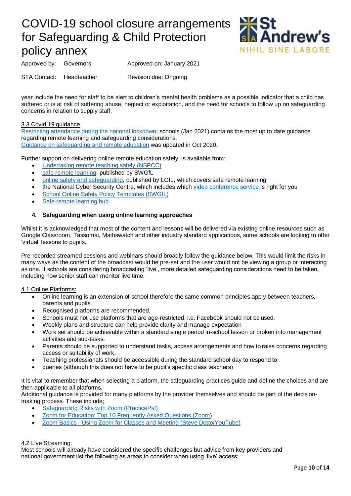

Approved by: Governors Approved on: January 2021

STA Contact: Headteacher Revision due: Ongoing

year include the need for staff to be alert to children's mental health problems as a possible indicator that a child has suffered or is at risk of suffering abuse, neglect or exploitation, and the need for schools to follow up on safeguarding concerns in relation to supply staff.

## 3.3 Covid 19 guidance

[Restricting attendance during the national lockdown;](https://assets.publishing.service.gov.uk/government/uploads/system/uploads/attachment_data/file/950510/School_national_restrictions_guidance.pdf) schools (Jan 2021) contains the most up to date guidance regarding remote learning and safeguarding considerations. [Guidance on safeguarding and remote education](https://www.gov.uk/guidance/safeguarding-and-remote-education-during-coronavirus-covid-19) was updated in Oct 2020.

Further support on delivering online remote education safely, is available from:

- [Undertaking remote teaching safely \(NSPCC\)](https://learning.nspcc.org.uk/news/2020/march/undertaking-remote-teaching-safely)
- [safe remote learning,](https://swgfl.org.uk/resources/safe-remote-learning/) published by SWGfL
- [online safety and safeguarding,](https://www.lgfl.net/online-safety/default.aspx) published by LGfL, which covers safe remote learning
- the National Cyber Security Centre, which includes which [video conference service](https://www.ncsc.gov.uk/guidance/video-conferencing-services-security-guidance-organisations) is right for you
- [School Online Safety Policy Templates \(SWGfL\)](https://swgfl.org.uk/resources/online-safety-policy-templates/)
- [Safe remote learning hub](https://www.saferinternet.org.uk/advice-centre/safe-remote-learning-hub)

## **4. Safeguarding when using online learning approaches**

Whilst it is acknowledged that most of the content and lessons will be delivered via existing online resources such as Google Classroom, Tassomai, Mathswatch and other industry standard applications, some schools are looking to offer 'virtual' lessons to pupils.

Pre-recorded streamed sessions and webinars should broadly follow the guidance below. This would limit the risks in many ways as the content of the broadcast would be pre-set and the user would not be viewing a group or interacting as one. If schools are considering broadcasting 'live', more detailed safeguarding considerations need to be taken, including how senior staff can monitor live time.

### 4.1 Online Platforms:

- Online learning is an extension of school therefore the same common principles apply between teachers, parents and pupils.
- Recognised platforms are recommended.
- Schools must not use platforms that are age-restricted, i.e. Facebook should not be used.
- Weekly plans and structure can help provide clarity and manage expectation
- Work set should be achievable within a standard single period in-school lesson or broken into management activities and sub-tasks.
- Parents should be supported to understand tasks, access arrangements and how to raise concerns regarding access or suitability of work.
- Teaching professionals should be accessible during the standard school day to respond to
- queries (although this does not have to be pupil's specific class teachers)

It is vital to remember that when selecting a platform, the safeguarding practices guide and define the choices and are then applicable to all platforms.

Additional guidance is provided for many platforms by the provider themselves and should be part of the decisionmaking process. These include;

- [Safeguarding Risks with Zoom \(PracticePal\)](https://practicepalmusic.com/img/safeguarding-comp.pdf)
- [Zoom for Education: Top 10 Frequently Asked Questions \(Zoom\)](https://blog.zoom.us/zoom-for-education-top-10-frequently-asked-questions/)
- Zoom Basics [Using Zoom for Classes and Meeting \(Steve Dotto/YouTube\)](https://www.youtube.com/watch?v=s5VU8cmEnTs)

## 4.2 Live Streaming:

Most schools will already have considered the specific challenges but advice from key providers and national government list the following as areas to consider when using 'live' access;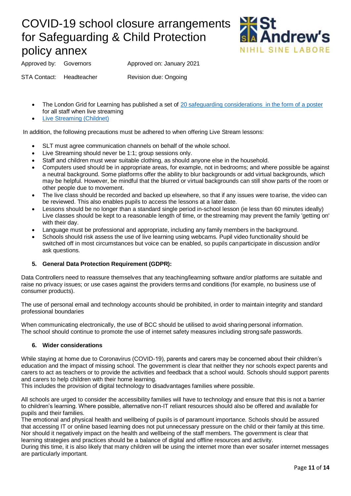

Approved by: Governors Approved on: January 2021

STA Contact: Headteacher Revision due: Ongoing

- The London Grid for Learning has published a set of [20 safeguarding considerations in the form of a poster](https://static.lgfl.net/LgflNet/downloads/digisafe/Safe-Lessons-by-Video-and-Livestream.pdf) for all staff when live streaming
- [Live Streaming \(Childnet\)](https://www.childnet.com/teachers-and-professionals/hot-topics/livestreaming)

In addition, the following precautions must be adhered to when offering Live Stream lessons:

- SLT must agree communication channels on behalf of the whole school.
- Live Streaming should never be 1:1; group sessions only.
- Staff and children must wear suitable clothing, as should anyone else in the household.
- Computers used should be in appropriate areas, for example, not in bedrooms; and where possible be against a neutral background. Some platforms offer the ability to blur backgrounds or add virtual backgrounds, which may be helpful. However, be mindful that the blurred or virtual backgrounds can still show parts of the room or other people due to movement.
- The live class should be recorded and backed up elsewhere, so that if any issues were toarise, the video can be reviewed. This also enables pupils to access the lessons at a later date.
- Lessons should be no longer than a standard single period in-school lesson (ie less than 60 minutes ideally) Live classes should be kept to a reasonable length of time, or thestreaming may prevent the family 'getting on' with their day.
- Language must be professional and appropriate, including any family members in the background.
- Schools should risk assess the use of live learning using webcams. Pupil video functionality should be switched off in most circumstances but voice can be enabled, so pupils canparticipate in discussion and/or ask questions.

## **5. General Data Protection Requirement (GDPR):**

Data Controllers need to reassure themselves that any teaching/learning software and/or platforms are suitable and raise no privacy issues; or use cases against the providers terms and conditions (for example, no business use of consumer products).

The use of personal email and technology accounts should be prohibited, in order to maintain integrity and standard professional boundaries

When communicating electronically, the use of BCC should be utilised to avoid sharing personal information. The school should continue to promote the use of internet safety measures including strongsafe passwords.

### **6. Wider considerations**

While staying at home due to Coronavirus (COVID-19), parents and carers may be concerned about their children's education and the impact of missing school. The government is clear that neither they nor schools expect parents and carers to act as teachers or to provide the activities and feedback that a school would. Schools should support parents and carers to help children with their home learning.

This includes the provision of digital technology to disadvantages families where possible.

All schools are urged to consider the accessibility families will have to technology and ensure that this is not a barrier to children's learning. Where possible, alternative non-IT reliant resources should also be offered and available for pupils and their families.

The emotional and physical health and wellbeing of pupils is of paramount importance. Schools should be assured that accessing IT or online based learning does not put unnecessary pressure on the child or their family at this time. Nor should it negatively impact on the health and wellbeing of the staff members. The government is clear that learning strategies and practices should be a balance of digital and offline resources and activity.

During this time, it is also likely that many children will be using the internet more than ever sosafer internet messages are particularly important.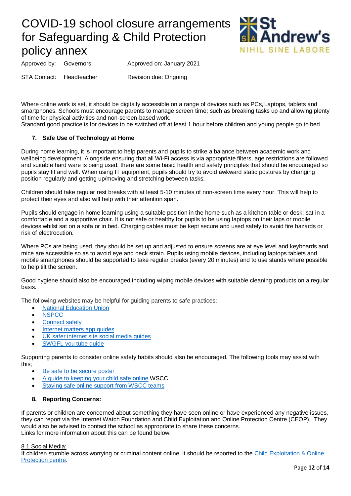

Approved by: Governors Approved on: January 2021

STA Contact: Headteacher Revision due: Ongoing

Where online work is set, it should be digitally accessible on a range of devices such as PCs. Laptops, tablets and smartphones. Schools must encourage parents to manage screen time; such as breaking tasks up and allowing plenty of time for physical activities and non-screen-based work.

Standard good practice is for devices to be switched off at least 1 hour before children and young people go to bed.

## **7. Safe Use of Technology at Home**

During home learning, it is important to help parents and pupils to strike a balance between academic work and wellbeing development. Alongside ensuring that all Wi-Fi access is via appropriate filters, age restrictions are followed and suitable hard ware is being used, there are some basic health and safety principles that should be encouraged so pupils stay fit and well. When using IT equipment, pupils should try to avoid awkward static postures by changing position regularly and getting up/moving and stretching between tasks.

Children should take regular rest breaks with at least 5-10 minutes of non-screen time every hour. This will help to protect their eyes and also will help with their attention span.

Pupils should engage in home learning using a suitable position in the home such as a kitchen table or desk; sat in a comfortable and a supportive chair. It is not safe or healthy for pupils to be using laptops on their laps or mobile devices whilst sat on a sofa or in bed. Charging cables must be kept secure and used safely to avoid fire hazards or risk of electrocution.

Where PCs are being used, they should be set up and adjusted to ensure screens are at eye level and keyboards and mice are accessible so as to avoid eye and neck strain. Pupils using mobile devices, including laptops tablets and mobile smartphones should be supported to take regular breaks (every 20 minutes) and to use stands where possible to help tilt the screen.

Good hygiene should also be encouraged including wiping mobile devices with suitable cleaning products on a regular basis.

The following websites may be helpful for guiding parents to safe practices;

- **[National Education Union](https://coronavirusandschools.org.uk/learning-outside-school/)**
- **[NSPCC](https://www.nspcc.org.uk/keeping-children-safe/online-safety/)**
- [Connect safely](https://www.connectsafely.org/parentguides/)
- [Internet matters app guides](file:///C:/Users/RCYG8360/AppData/Local/Microsoft/Windows/INetCache/Content.Outlook/F1KBY64O/•%09https:/www.internetmatters.org/resources/apps-guide/)
- [UK safer internet site social media guides](https://www.saferinternet.org.uk/advice-%20centre/social-media-guides)
- [SWGFL you tube guide](https://swgfl.org.uk/magazine/a-parents-guide-to-youtube-restricted-%20mode/)

Supporting parents to consider online safety habits should also be encouraged. The following tools may assist with this;

- [Be safe to be secure poster](https://static.lgfl.net/LgflNet/downloads/online-safety/posters/LGfL-DigiSafe-Poster-A3-Be-secure-to-be-safe-online.pdf)
- [A guide to keeping your child safe online](https://www.westsussex.gov.uk/media/12312/parent-carer-guide.pdf) WSCC
- Staving safe online support from WSCC teams

#### **8. Reporting Concerns:**

If parents or children are concerned about something they have seen online or have experienced any negative issues, they can report via the Internet Watch Foundation and Child Exploitation and Online Protection Centre (CEOP). They would also be advised to contact the school as appropriate to share these concerns. Links for more information about this can be found below:

#### 8.1 Social Media:

If children stumble across worrying or criminal content online, it should be reported to the [Child Exploitation & Online](https://www.ceop.police.uk/ceop-%20reporting/)  [Protection centre.](https://www.ceop.police.uk/ceop-%20reporting/)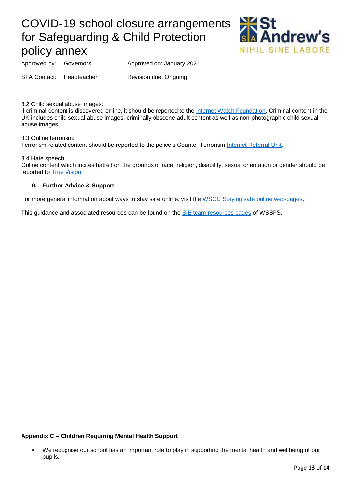

Approved by: Governors Approved on: January 2021

STA Contact: Headteacher Revision due: Ongoing

8.2 Child sexual abuse images:

If criminal content is discovered online, it should be reported to the [Internet Watch Foundation.](http://www.iwf.org.uk/report) Criminal content in the UK includes child sexual abuse images, criminally obscene adult content as well as non-photographic child sexual abuse images.

#### 8.3 Online terrorism:

Terrorism related content should be reported to the police's Counter Terrorism [Internet Referral Unit.](http://www.gov.uk/report-terrorism)

#### 8.4 Hate speech:

Online content which incites hatred on the grounds of race, religion, disability, sexual orientation or gender should be reported to [True Vision.](http://www.report-it.org.uk/)

### **9. Further Advice & Support**

For more general information about ways to stay safe online, visit the [WSCC Staying safe online](https://www.westsussex.gov.uk/fire-emergencies-and-crime/crime-prevention/staying-safe-%20online/#online-safety-advice) web-pages.

This guidance and associated resources can be found on the [SiE team resources pages](https://secure2.sla-online.co.uk/v3/Resources/Page/13965) of WSSFS.

## **Appendix C – Children Requiring Mental Health Support**

<sup>•</sup> We recognise our school has an important role to play in supporting the mental health and wellbeing of our pupils.